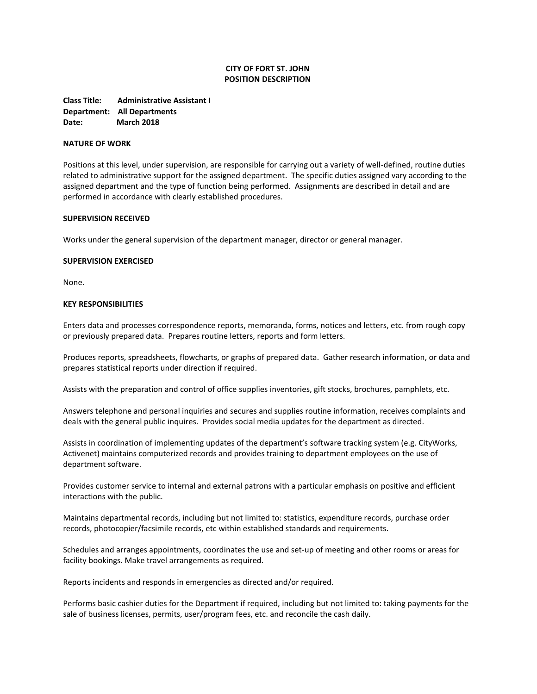# **CITY OF FORT ST. JOHN POSITION DESCRIPTION**

**Class Title: Administrative Assistant I Department: All Departments Date: March 2018**

# **NATURE OF WORK**

Positions at this level, under supervision, are responsible for carrying out a variety of well-defined, routine duties related to administrative support for the assigned department. The specific duties assigned vary according to the assigned department and the type of function being performed. Assignments are described in detail and are performed in accordance with clearly established procedures.

# **SUPERVISION RECEIVED**

Works under the general supervision of the department manager, director or general manager.

#### **SUPERVISION EXERCISED**

None.

# **KEY RESPONSIBILITIES**

Enters data and processes correspondence reports, memoranda, forms, notices and letters, etc. from rough copy or previously prepared data. Prepares routine letters, reports and form letters.

Produces reports, spreadsheets, flowcharts, or graphs of prepared data. Gather research information, or data and prepares statistical reports under direction if required.

Assists with the preparation and control of office supplies inventories, gift stocks, brochures, pamphlets, etc.

Answers telephone and personal inquiries and secures and supplies routine information, receives complaints and deals with the general public inquires. Provides social media updates for the department as directed.

Assists in coordination of implementing updates of the department's software tracking system (e.g. CityWorks, Activenet) maintains computerized records and provides training to department employees on the use of department software.

Provides customer service to internal and external patrons with a particular emphasis on positive and efficient interactions with the public.

Maintains departmental records, including but not limited to: statistics, expenditure records, purchase order records, photocopier/facsimile records, etc within established standards and requirements.

Schedules and arranges appointments, coordinates the use and set-up of meeting and other rooms or areas for facility bookings. Make travel arrangements as required.

Reports incidents and responds in emergencies as directed and/or required.

Performs basic cashier duties for the Department if required, including but not limited to: taking payments for the sale of business licenses, permits, user/program fees, etc. and reconcile the cash daily.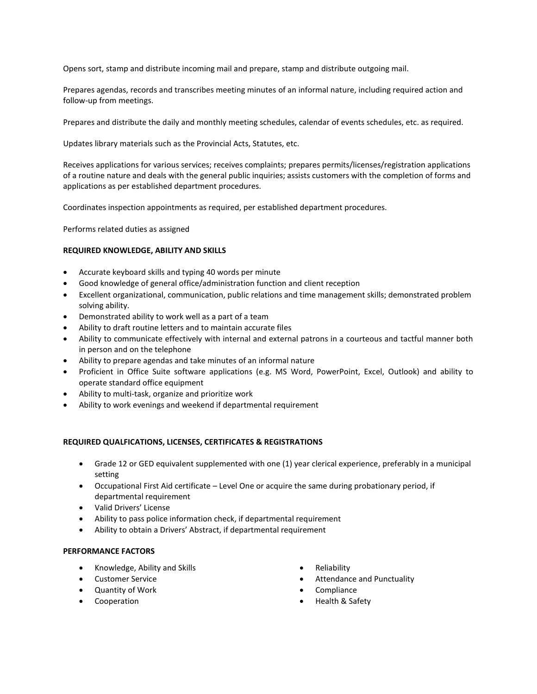Opens sort, stamp and distribute incoming mail and prepare, stamp and distribute outgoing mail.

Prepares agendas, records and transcribes meeting minutes of an informal nature, including required action and follow-up from meetings.

Prepares and distribute the daily and monthly meeting schedules, calendar of events schedules, etc. as required.

Updates library materials such as the Provincial Acts, Statutes, etc.

Receives applications for various services; receives complaints; prepares permits/licenses/registration applications of a routine nature and deals with the general public inquiries; assists customers with the completion of forms and applications as per established department procedures.

Coordinates inspection appointments as required, per established department procedures.

Performs related duties as assigned

# **REQUIRED KNOWLEDGE, ABILITY AND SKILLS**

- Accurate keyboard skills and typing 40 words per minute
- Good knowledge of general office/administration function and client reception
- Excellent organizational, communication, public relations and time management skills; demonstrated problem solving ability.
- Demonstrated ability to work well as a part of a team
- Ability to draft routine letters and to maintain accurate files
- Ability to communicate effectively with internal and external patrons in a courteous and tactful manner both in person and on the telephone
- Ability to prepare agendas and take minutes of an informal nature
- Proficient in Office Suite software applications (e.g. MS Word, PowerPoint, Excel, Outlook) and ability to operate standard office equipment
- Ability to multi-task, organize and prioritize work
- Ability to work evenings and weekend if departmental requirement

# **REQUIRED QUALFICATIONS, LICENSES, CERTIFICATES & REGISTRATIONS**

- Grade 12 or GED equivalent supplemented with one (1) year clerical experience, preferably in a municipal setting
- Occupational First Aid certificate Level One or acquire the same during probationary period, if departmental requirement
- Valid Drivers' License
- Ability to pass police information check, if departmental requirement
- Ability to obtain a Drivers' Abstract, if departmental requirement

# **PERFORMANCE FACTORS**

- Knowledge, Ability and Skills
- Customer Service
- **Quantity of Work**
- Cooperation
- Reliability
- Attendance and Punctuality
- Compliance
- Health & Safety